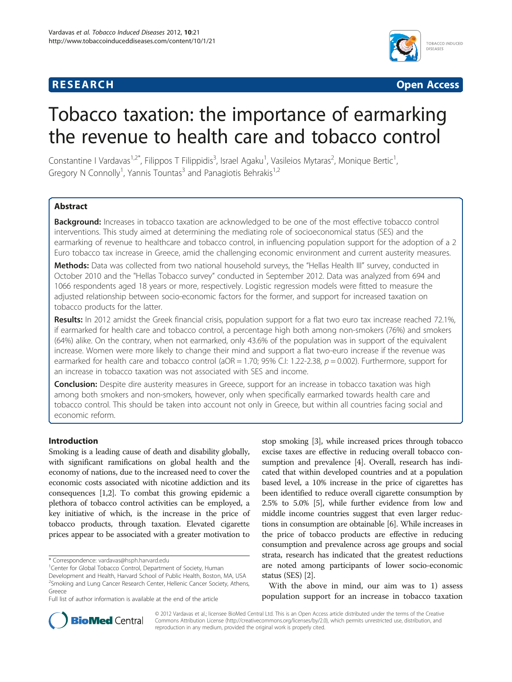# **RESEARCH RESEARCH** *CHECKER CHECKER CHECKER CHECKER CHECKER CHECKER CHECKER CHECKER CHECKER CHECKER CHECKER*



# Tobacco taxation: the importance of earmarking the revenue to health care and tobacco control

Constantine I Vardavas<sup>1,2\*</sup>, Filippos T Filippidis<sup>3</sup>, Israel Agaku<sup>1</sup>, Vasileios Mytaras<sup>2</sup>, Monique Bertic<sup>1</sup> , Gregory N Connolly<sup>1</sup>, Yannis Tountas<sup>3</sup> and Panagiotis Behrakis<sup>1,2</sup>

# **Abstract**

Background: Increases in tobacco taxation are acknowledged to be one of the most effective tobacco control interventions. This study aimed at determining the mediating role of socioeconomical status (SES) and the earmarking of revenue to healthcare and tobacco control, in influencing population support for the adoption of a 2 Euro tobacco tax increase in Greece, amid the challenging economic environment and current austerity measures.

Methods: Data was collected from two national household surveys, the "Hellas Health III" survey, conducted in October 2010 and the "Hellas Tobacco survey" conducted in September 2012. Data was analyzed from 694 and 1066 respondents aged 18 years or more, respectively. Logistic regression models were fitted to measure the adjusted relationship between socio-economic factors for the former, and support for increased taxation on tobacco products for the latter.

Results: In 2012 amidst the Greek financial crisis, population support for a flat two euro tax increase reached 72.1%, if earmarked for health care and tobacco control, a percentage high both among non-smokers (76%) and smokers (64%) alike. On the contrary, when not earmarked, only 43.6% of the population was in support of the equivalent increase. Women were more likely to change their mind and support a flat two-euro increase if the revenue was earmarked for health care and tobacco control ( $aOR = 1.70$ ; 95% C.I: 1.22-2.38,  $p = 0.002$ ). Furthermore, support for an increase in tobacco taxation was not associated with SES and income.

**Conclusion:** Despite dire austerity measures in Greece, support for an increase in tobacco taxation was high among both smokers and non-smokers, however, only when specifically earmarked towards health care and tobacco control. This should be taken into account not only in Greece, but within all countries facing social and economic reform.

# Introduction

Smoking is a leading cause of death and disability globally, with significant ramifications on global health and the economy of nations, due to the increased need to cover the economic costs associated with nicotine addiction and its consequences [[1,2](#page-4-0)]. To combat this growing epidemic a plethora of tobacco control activities can be employed, a key initiative of which, is the increase in the price of tobacco products, through taxation. Elevated cigarette prices appear to be associated with a greater motivation to

stop smoking [[3\]](#page-4-0), while increased prices through tobacco excise taxes are effective in reducing overall tobacco consumption and prevalence [\[4](#page-4-0)]. Overall, research has indicated that within developed countries and at a population based level, a 10% increase in the price of cigarettes has been identified to reduce overall cigarette consumption by 2.5% to 5.0% [[5](#page-4-0)], while further evidence from low and middle income countries suggest that even larger reductions in consumption are obtainable [\[6\]](#page-4-0). While increases in the price of tobacco products are effective in reducing consumption and prevalence across age groups and social strata, research has indicated that the greatest reductions are noted among participants of lower socio-economic status (SES) [\[2\]](#page-4-0).

With the above in mind, our aim was to 1) assess population support for an increase in tobacco taxation



© 2012 Vardavas et al.; licensee BioMed Central Ltd. This is an Open Access article distributed under the terms of the Creative Commons Attribution License [\(http://creativecommons.org/licenses/by/2.0\)](http://creativecommons.org/licenses/by/2.0), which permits unrestricted use, distribution, and reproduction in any medium, provided the original work is properly cited.

<sup>\*</sup> Correspondence: [vardavas@hsph.harvard.edu](mailto:vardavas@hsph.harvard.edu) <sup>1</sup>

<sup>&</sup>lt;sup>1</sup> Center for Global Tobacco Control, Department of Society, Human

Development and Health, Harvard School of Public Health, Boston, MA, USA <sup>2</sup>Smoking and Lung Cancer Research Center, Hellenic Cancer Society, Athens, Greece

Full list of author information is available at the end of the article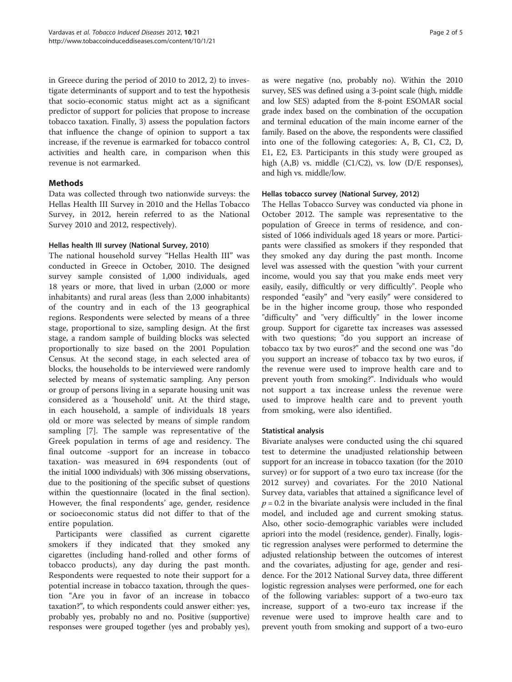in Greece during the period of 2010 to 2012, 2) to investigate determinants of support and to test the hypothesis that socio-economic status might act as a significant predictor of support for policies that propose to increase tobacco taxation. Finally, 3) assess the population factors that influence the change of opinion to support a tax increase, if the revenue is earmarked for tobacco control activities and health care, in comparison when this revenue is not earmarked.

# Methods

Data was collected through two nationwide surveys: the Hellas Health III Survey in 2010 and the Hellas Tobacco Survey, in 2012, herein referred to as the National Survey 2010 and 2012, respectively).

# Hellas health III survey (National Survey, 2010)

The national household survey "Hellas Health III" was conducted in Greece in October, 2010. The designed survey sample consisted of 1,000 individuals, aged 18 years or more, that lived in urban (2,000 or more inhabitants) and rural areas (less than 2,000 inhabitants) of the country and in each of the 13 geographical regions. Respondents were selected by means of a three stage, proportional to size, sampling design. At the first stage, a random sample of building blocks was selected proportionally to size based on the 2001 Population Census. At the second stage, in each selected area of blocks, the households to be interviewed were randomly selected by means of systematic sampling. Any person or group of persons living in a separate housing unit was considered as a 'household' unit. At the third stage, in each household, a sample of individuals 18 years old or more was selected by means of simple random sampling [\[7\]](#page-4-0). The sample was representative of the Greek population in terms of age and residency. The final outcome -support for an increase in tobacco taxation- was measured in 694 respondents (out of the initial 1000 individuals) with 306 missing observations, due to the positioning of the specific subset of questions within the questionnaire (located in the final section). However, the final respondents' age, gender, residence or socioeconomic status did not differ to that of the entire population.

Participants were classified as current cigarette smokers if they indicated that they smoked any cigarettes (including hand-rolled and other forms of tobacco products), any day during the past month. Respondents were requested to note their support for a potential increase in tobacco taxation, through the question "Are you in favor of an increase in tobacco taxation?", to which respondents could answer either: yes, probably yes, probably no and no. Positive (supportive) responses were grouped together (yes and probably yes),

as were negative (no, probably no). Within the 2010 survey, SES was defined using a 3-point scale (high, middle and low SES) adapted from the 8-point ESOMAR social grade index based on the combination of the occupation and terminal education of the main income earner of the family. Based on the above, the respondents were classified into one of the following categories: A, B, C1, C2, D, E1, E2, E3. Participants in this study were grouped as high (A,B) vs. middle (C1/C2), vs. low (D/E responses), and high vs. middle/low.

## Hellas tobacco survey (National Survey, 2012)

The Hellas Tobacco Survey was conducted via phone in October 2012. The sample was representative to the population of Greece in terms of residence, and consisted of 1066 individuals aged 18 years or more. Participants were classified as smokers if they responded that they smoked any day during the past month. Income level was assessed with the question "with your current income, would you say that you make ends meet very easily, easily, difficultly or very difficultly". People who responded "easily" and "very easily" were considered to be in the higher income group, those who responded "difficulty" and "very difficultly" in the lower income group. Support for cigarette tax increases was assessed with two questions; "do you support an increase of tobacco tax by two euros?" and the second one was "do you support an increase of tobacco tax by two euros, if the revenue were used to improve health care and to prevent youth from smoking?". Individuals who would not support a tax increase unless the revenue were used to improve health care and to prevent youth from smoking, were also identified.

# Statistical analysis

Bivariate analyses were conducted using the chi squared test to determine the unadjusted relationship between support for an increase in tobacco taxation (for the 2010 survey) or for support of a two euro tax increase (for the 2012 survey) and covariates. For the 2010 National Survey data, variables that attained a significance level of  $p = 0.2$  in the bivariate analysis were included in the final model, and included age and current smoking status. Also, other socio-demographic variables were included apriori into the model (residence, gender). Finally, logistic regression analyses were performed to determine the adjusted relationship between the outcomes of interest and the covariates, adjusting for age, gender and residence. For the 2012 National Survey data, three different logistic regression analyses were performed, one for each of the following variables: support of a two-euro tax increase, support of a two-euro tax increase if the revenue were used to improve health care and to prevent youth from smoking and support of a two-euro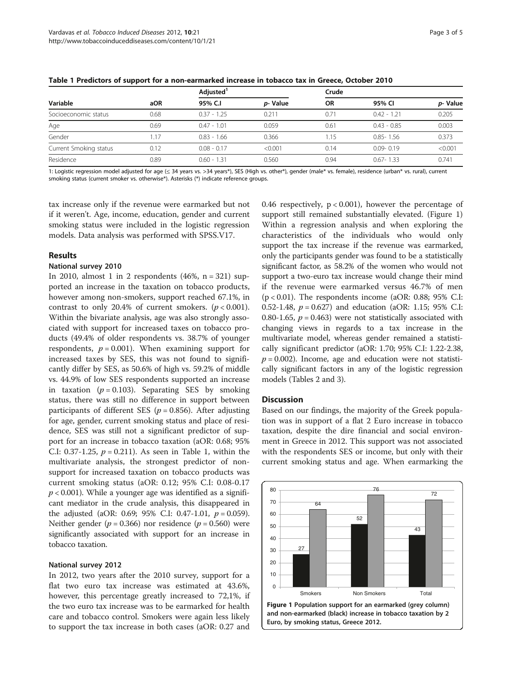| Variable               | aOR  | Adjusted <sup>1</sup> |         | Crude     |               |         |
|------------------------|------|-----------------------|---------|-----------|---------------|---------|
|                        |      | 95% C.I               | p-Value | <b>OR</b> | 95% CI        | p-Value |
| Socioeconomic status   | 0.68 | $0.37 - 1.25$         | 0.211   | 0.71      | $0.42 - 1.21$ | 0.205   |
| Age                    | 0.69 | $0.47 - 1.01$         | 0.059   | 0.61      | $0.43 - 0.85$ | 0.003   |
| Gender                 | 1.17 | $0.83 - 1.66$         | 0.366   | 1.15      | $0.85 - 1.56$ | 0.373   |
| Current Smoking status | 0.12 | $0.08 - 0.17$         | < 0.001 | 0.14      | $0.09 - 0.19$ | < 0.001 |
| Residence              | 0.89 | $0.60 - 1.31$         | 0.560   | 0.94      | $0.67 - 1.33$ | 0.741   |

Table 1 Predictors of support for a non-earmarked increase in tobacco tax in Greece, October 2010

1: Logistic regression model adjusted for age (≤ 34 years vs. >34 years\*), SES (High vs. other\*), gender (male\* vs. female), residence (urban\* vs. rural), current smoking status (current smoker vs. otherwise\*). Asterisks (\*) indicate reference groups.

tax increase only if the revenue were earmarked but not if it weren't. Age, income, education, gender and current smoking status were included in the logistic regression models. Data analysis was performed with SPSS.V17.

## Results

#### National survey 2010

In 2010, almost 1 in 2 respondents  $(46\%, n = 321)$  supported an increase in the taxation on tobacco products, however among non-smokers, support reached 67.1%, in contrast to only 20.4% of current smokers. ( $p < 0.001$ ). Within the bivariate analysis, age was also strongly associated with support for increased taxes on tobacco products (49.4% of older respondents vs. 38.7% of younger respondents,  $p = 0.001$ ). When examining support for increased taxes by SES, this was not found to significantly differ by SES, as 50.6% of high vs. 59.2% of middle vs. 44.9% of low SES respondents supported an increase in taxation ( $p = 0.103$ ). Separating SES by smoking status, there was still no difference in support between participants of different SES ( $p = 0.856$ ). After adjusting for age, gender, current smoking status and place of residence, SES was still not a significant predictor of support for an increase in tobacco taxation (aOR: 0.68; 95% C.I: 0.37-1.25,  $p = 0.211$ ). As seen in Table 1, within the multivariate analysis, the strongest predictor of nonsupport for increased taxation on tobacco products was current smoking status (aOR: 0.12; 95% C.I: 0.08-0.17  $p < 0.001$ ). While a younger age was identified as a significant mediator in the crude analysis, this disappeared in the adjusted (aOR: 0.69; 95% C.I: 0.47-1.01,  $p = 0.059$ ). Neither gender ( $p = 0.366$ ) nor residence ( $p = 0.560$ ) were significantly associated with support for an increase in tobacco taxation.

#### National survey 2012

In 2012, two years after the 2010 survey, support for a flat two euro tax increase was estimated at 43.6%, however, this percentage greatly increased to 72,1%, if the two euro tax increase was to be earmarked for health care and tobacco control. Smokers were again less likely to support the tax increase in both cases (aOR: 0.27 and

0.46 respectively,  $p < 0.001$ ), however the percentage of support still remained substantially elevated. (Figure 1) Within a regression analysis and when exploring the characteristics of the individuals who would only support the tax increase if the revenue was earmarked, only the participants gender was found to be a statistically significant factor, as 58.2% of the women who would not support a two-euro tax increase would change their mind if the revenue were earmarked versus 46.7% of men (p < 0.01). The respondents income (aOR: 0.88; 95% C.I: 0.52-1.48,  $p = 0.627$ ) and education (aOR: 1.15; 95% C.I: 0.80-1.65,  $p = 0.463$ ) were not statistically associated with changing views in regards to a tax increase in the multivariate model, whereas gender remained a statistically significant predictor (aOR: 1.70; 95% C.I: 1.22-2.38,  $p = 0.002$ ). Income, age and education were not statistically significant factors in any of the logistic regression models (Tables [2](#page-3-0) and [3\)](#page-3-0).

#### **Discussion**

Based on our findings, the majority of the Greek population was in support of a flat 2 Euro increase in tobacco taxation, despite the dire financial and social environment in Greece in 2012. This support was not associated with the respondents SES or income, but only with their current smoking status and age. When earmarking the

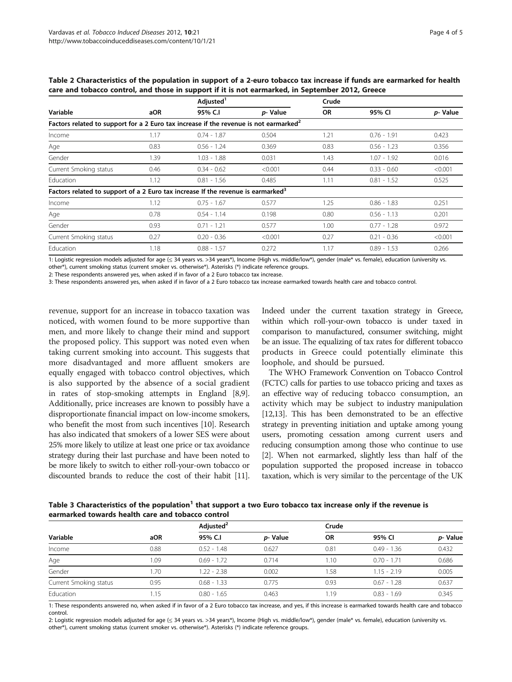| Variable                                                                                          | aOR  | Adjusted <sup>1</sup> |         | Crude     |               |         |
|---------------------------------------------------------------------------------------------------|------|-----------------------|---------|-----------|---------------|---------|
|                                                                                                   |      | 95% C.I               | p-Value | <b>OR</b> | 95% CI        | p-Value |
| Factors related to support for a 2 Euro tax increase if the revenue is not earmarked <sup>2</sup> |      |                       |         |           |               |         |
| Income                                                                                            | 1.17 | $0.74 - 1.87$         | 0.504   | 1.21      | $0.76 - 1.91$ | 0.423   |
| Age                                                                                               | 0.83 | $0.56 - 1.24$         | 0.369   | 0.83      | $0.56 - 1.23$ | 0.356   |
| Gender                                                                                            | 1.39 | $1.03 - 1.88$         | 0.031   | 1.43      | $1.07 - 1.92$ | 0.016   |
| Current Smoking status                                                                            | 0.46 | $0.34 - 0.62$         | < 0.001 | 0.44      | $0.33 - 0.60$ | < 0.001 |
| Education                                                                                         | 1.12 | $0.81 - 1.56$         | 0.485   | 1.11      | $0.81 - 1.52$ | 0.525   |
| Factors related to support of a 2 Euro tax increase If the revenue is earmarked <sup>3</sup>      |      |                       |         |           |               |         |
| Income                                                                                            | 1.12 | $0.75 - 1.67$         | 0.577   | 1.25      | $0.86 - 1.83$ | 0.251   |
| Age                                                                                               | 0.78 | $0.54 - 1.14$         | 0.198   | 0.80      | $0.56 - 1.13$ | 0.201   |
| Gender                                                                                            | 0.93 | $0.71 - 1.21$         | 0.577   | 1.00      | $0.77 - 1.28$ | 0.972   |
| Current Smoking status                                                                            | 0.27 | $0.20 - 0.36$         | < 0.001 | 0.27      | $0.21 - 0.36$ | < 0.001 |
| Education                                                                                         | 1.18 | $0.88 - 1.57$         | 0.272   | 1.17      | $0.89 - 1.53$ | 0.266   |

<span id="page-3-0"></span>Table 2 Characteristics of the population in support of a 2-euro tobacco tax increase if funds are earmarked for health care and tobacco control, and those in support if it is not earmarked, in September 2012, Greece

1: Logistic regression models adjusted for age (≤ 34 years vs. >34 years\*), Income (High vs. middle/low\*), gender (male\* vs. female), education (university vs.

other\*), current smoking status (current smoker vs. otherwise\*). Asterisks (\*) indicate reference groups.

2: These respondents answered yes, when asked if in favor of a 2 Euro tobacco tax increase.

3: These respondents answered yes, when asked if in favor of a 2 Euro tobacco tax increase earmarked towards health care and tobacco control.

revenue, support for an increase in tobacco taxation was noticed, with women found to be more supportive than men, and more likely to change their mind and support the proposed policy. This support was noted even when taking current smoking into account. This suggests that more disadvantaged and more affluent smokers are equally engaged with tobacco control objectives, which is also supported by the absence of a social gradient in rates of stop-smoking attempts in England [[8](#page-4-0),[9](#page-4-0)]. Additionally, price increases are known to possibly have a disproportionate financial impact on low-income smokers, who benefit the most from such incentives [[10](#page-4-0)]. Research has also indicated that smokers of a lower SES were about 25% more likely to utilize at least one price or tax avoidance strategy during their last purchase and have been noted to be more likely to switch to either roll-your-own tobacco or discounted brands to reduce the cost of their habit [\[11](#page-4-0)].

Indeed under the current taxation strategy in Greece, within which roll-your-own tobacco is under taxed in comparison to manufactured, consumer switching, might be an issue. The equalizing of tax rates for different tobacco products in Greece could potentially eliminate this loophole, and should be pursued.

The WHO Framework Convention on Tobacco Control (FCTC) calls for parties to use tobacco pricing and taxes as an effective way of reducing tobacco consumption, an activity which may be subject to industry manipulation [[12,13\]](#page-4-0). This has been demonstrated to be an effective strategy in preventing initiation and uptake among young users, promoting cessation among current users and reducing consumption among those who continue to use [[2](#page-4-0)]. When not earmarked, slightly less than half of the population supported the proposed increase in tobacco taxation, which is very similar to the percentage of the UK

Table 3 Characteristics of the population<sup>1</sup> that support a two Euro tobacco tax increase only if the revenue is earmarked towards health care and tobacco control

| Variable               | aOR  | Adjusted <sup>2</sup> |         | Crude     |               |         |  |  |
|------------------------|------|-----------------------|---------|-----------|---------------|---------|--|--|
|                        |      | 95% C.I               | p-Value | <b>OR</b> | 95% CI        | p-Value |  |  |
| Income                 | 0.88 | $0.52 - 1.48$         | 0.627   | 0.81      | $0.49 - 1.36$ | 0.432   |  |  |
| Age                    | 1.09 | $0.69 - 1.72$         | 0.714   | 1.10      | $0.70 - 1.71$ | 0.686   |  |  |
| Gender                 | 1.70 | $1.22 - 2.38$         | 0.002   | 1.58      | $1.15 - 2.19$ | 0.005   |  |  |
| Current Smoking status | 0.95 | $0.68 - 1.33$         | 0.775   | 0.93      | $0.67 - 1.28$ | 0.637   |  |  |
| Education              | .15  | $0.80 - 1.65$         | 0.463   | 1.19      | $0.83 - 1.69$ | 0.345   |  |  |
|                        |      |                       |         |           |               |         |  |  |

1: These respondents answered no, when asked if in favor of a 2 Euro tobacco tax increase, and yes, if this increase is earmarked towards health care and tobacco control.

2: Logistic regression models adjusted for age (≤ 34 years vs. >34 years\*), Income (High vs. middle/low\*), gender (male\* vs. female), education (university vs. other\*), current smoking status (current smoker vs. otherwise\*). Asterisks (\*) indicate reference groups.